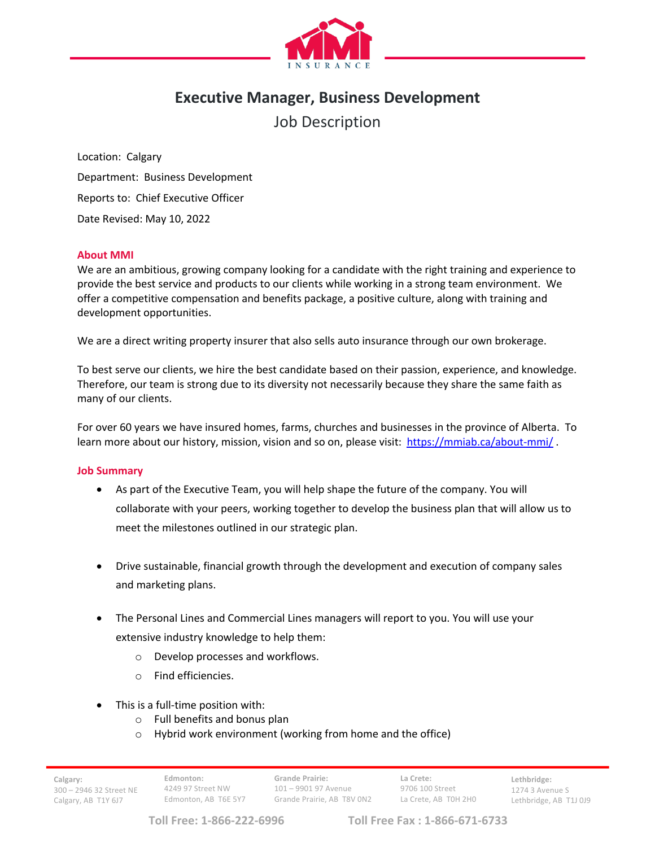

# **Executive Manager, Business Development**

Job Description

Location: Calgary Department: Business Development Reports to: Chief Executive Officer Date Revised: May 10, 2022

# **About MMI**

We are an ambitious, growing company looking for a candidate with the right training and experience to provide the best service and products to our clients while working in a strong team environment. We offer a competitive compensation and benefits package, a positive culture, along with training and development opportunities.

We are a direct writing property insurer that also sells auto insurance through our own brokerage.

To best serve our clients, we hire the best candidate based on their passion, experience, and knowledge. Therefore, our team is strong due to its diversity not necessarily because they share the same faith as many of our clients.

For over 60 years we have insured homes, farms, churches and businesses in the province of Alberta. To learn more about our history, mission, vision and so on, please visit: https://mmiab.ca/about-mmi/ .

# **Job Summary**

- As part of the Executive Team, you will help shape the future of the company. You will collaborate with your peers, working together to develop the business plan that will allow us to meet the milestones outlined in our strategic plan.
- Drive sustainable, financial growth through the development and execution of company sales and marketing plans.
- The Personal Lines and Commercial Lines managers will report to you. You will use your extensive industry knowledge to help them:
	- o Develop processes and workflows.
	- o Find efficiencies.
- This is a full-time position with:
	- o Full benefits and bonus plan
	- o Hybrid work environment (working from home and the office)

**Grande Prairie:** 101 – 9901 97 Avenue Grande Prairie, AB T8V 0N2

**La Crete:** 9706 100 Street La Crete, AB T0H 2H0 **Lethbridge:** 1274 3 Avenue S Lethbridge, AB T1J 0J9

**Toll Free: 1-866-222-6996 Toll Free Fax : 1-866-671-6733**